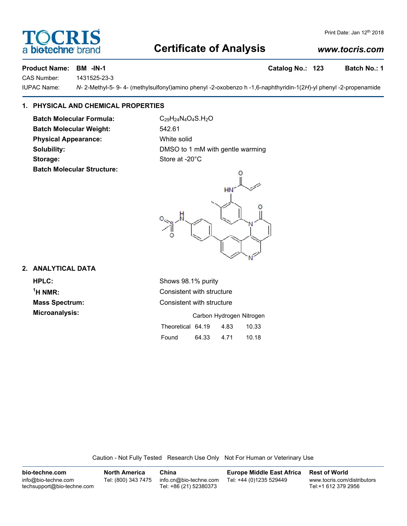## **Certificate of Analysis**

## Print Date: Jan 12th 2018

**DCRI** 

biotechne bi

### *www.tocris.com*

**Product Name: BM -IN-1 Catalog No.: 123 Batch No.: 1**

CAS Number: 1431525-23-3 IUPAC Name: *N*- 2-Methyl-5- 9- 4- (methylsulfonyl)amino phenyl -2-oxobenzo h -1,6-naphthyridin-1(2*H*)-yl phenyl -2-propenamide

**1. PHYSICAL AND CHEMICAL PROPERTIES**

**Batch Molecular Formula:** C<sub>29</sub>H<sub>24</sub>N<sub>4</sub>O<sub>4</sub>S.H<sub>2</sub>O **Batch Molecular Weight:** 542.61 **Physical Appearance:** White solid **Storage:** Store at -20°C **Batch Molecular Structure:**

**Solubility:** DMSO to 1 mM with gentle warming



#### **2. ANALYTICAL DATA**

**HPLC:** Shows 98.1% purity  $<sup>1</sup>H NMR$ </sup> **Microanalysis:** 

**Consistent with structure Mass Spectrum:** Consistent with structure

|                   |       | Carbon Hydrogen Nitrogen |       |
|-------------------|-------|--------------------------|-------|
| Theoretical 64.19 |       | 4.83                     | 10.33 |
| Found             | 64.33 | 4.71                     | 10.18 |

Caution - Not Fully Tested Research Use Only Not For Human or Veterinary Use

**bio-techne.com** info@bio-techne.com techsupport@bio-techne.com **North America** Tel: (800) 343 7475 **China** info.cn@bio-techne.com Tel: +86 (21) 52380373 **Europe Middle East Africa** Tel: +44 (0)1235 529449 **Rest of World** www.tocris.com/distributors Tel:+1 612 379 2956